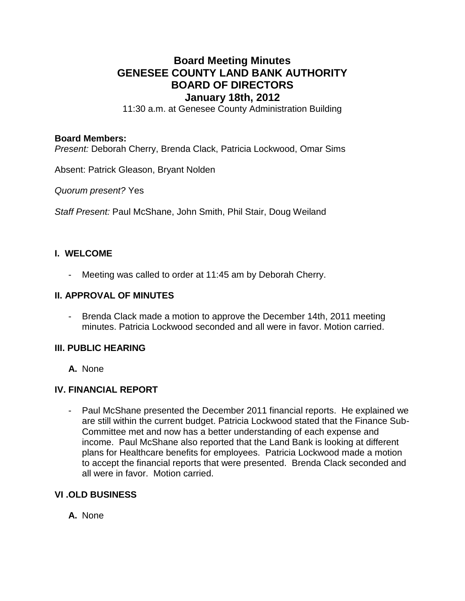# **Board Meeting Minutes GENESEE COUNTY LAND BANK AUTHORITY BOARD OF DIRECTORS January 18th, 2012**

11:30 a.m. at Genesee County Administration Building

#### **Board Members:**

*Present:* Deborah Cherry, Brenda Clack, Patricia Lockwood, Omar Sims

Absent: Patrick Gleason, Bryant Nolden

*Quorum present?* Yes

*Staff Present:* Paul McShane, John Smith, Phil Stair, Doug Weiland

# **I. WELCOME**

- Meeting was called to order at 11:45 am by Deborah Cherry.

#### **II. APPROVAL OF MINUTES**

- Brenda Clack made a motion to approve the December 14th, 2011 meeting minutes. Patricia Lockwood seconded and all were in favor. Motion carried.

### **III. PUBLIC HEARING**

**A.** None

### **IV. FINANCIAL REPORT**

- Paul McShane presented the December 2011 financial reports. He explained we are still within the current budget. Patricia Lockwood stated that the Finance Sub-Committee met and now has a better understanding of each expense and income. Paul McShane also reported that the Land Bank is looking at different plans for Healthcare benefits for employees. Patricia Lockwood made a motion to accept the financial reports that were presented. Brenda Clack seconded and all were in favor. Motion carried.

### **VI .OLD BUSINESS**

**A.** None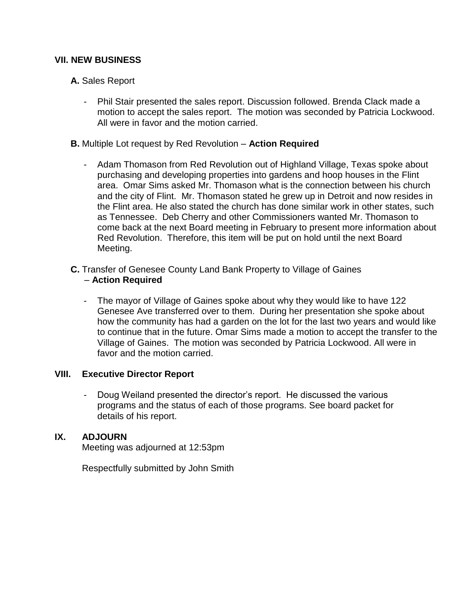# **VII. NEW BUSINESS**

- **A.** Sales Report
	- Phil Stair presented the sales report. Discussion followed. Brenda Clack made a motion to accept the sales report. The motion was seconded by Patricia Lockwood. All were in favor and the motion carried.
- **B.** Multiple Lot request by Red Revolution **Action Required**
	- Adam Thomason from Red Revolution out of Highland Village, Texas spoke about purchasing and developing properties into gardens and hoop houses in the Flint area. Omar Sims asked Mr. Thomason what is the connection between his church and the city of Flint. Mr. Thomason stated he grew up in Detroit and now resides in the Flint area. He also stated the church has done similar work in other states, such as Tennessee. Deb Cherry and other Commissioners wanted Mr. Thomason to come back at the next Board meeting in February to present more information about Red Revolution. Therefore, this item will be put on hold until the next Board Meeting.
- **C.** Transfer of Genesee County Land Bank Property to Village of Gaines – **Action Required**
	- The mayor of Village of Gaines spoke about why they would like to have 122 Genesee Ave transferred over to them. During her presentation she spoke about how the community has had a garden on the lot for the last two years and would like to continue that in the future. Omar Sims made a motion to accept the transfer to the Village of Gaines. The motion was seconded by Patricia Lockwood. All were in favor and the motion carried.

### **VIII. Executive Director Report**

- Doug Weiland presented the director's report. He discussed the various programs and the status of each of those programs. See board packet for details of his report.

### **IX. ADJOURN**

Meeting was adjourned at 12:53pm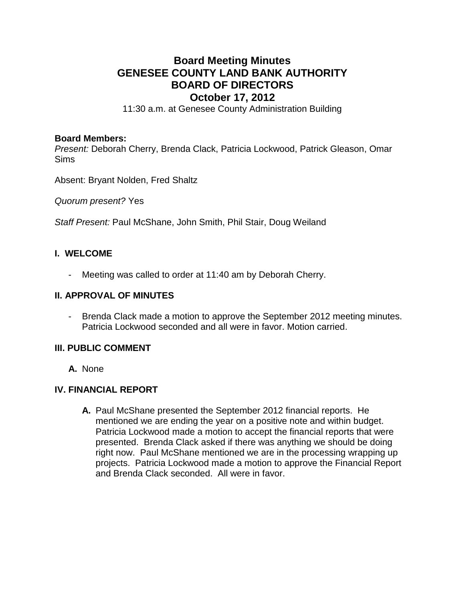# **Board Meeting Minutes GENESEE COUNTY LAND BANK AUTHORITY BOARD OF DIRECTORS October 17, 2012**

11:30 a.m. at Genesee County Administration Building

#### **Board Members:**

*Present:* Deborah Cherry, Brenda Clack, Patricia Lockwood, Patrick Gleason, Omar Sims

Absent: Bryant Nolden, Fred Shaltz

*Quorum present?* Yes

*Staff Present:* Paul McShane, John Smith, Phil Stair, Doug Weiland

# **I. WELCOME**

- Meeting was called to order at 11:40 am by Deborah Cherry.

#### **II. APPROVAL OF MINUTES**

- Brenda Clack made a motion to approve the September 2012 meeting minutes. Patricia Lockwood seconded and all were in favor. Motion carried.

## **III. PUBLIC COMMENT**

**A.** None

### **IV. FINANCIAL REPORT**

**A.** Paul McShane presented the September 2012 financial reports. He mentioned we are ending the year on a positive note and within budget. Patricia Lockwood made a motion to accept the financial reports that were presented. Brenda Clack asked if there was anything we should be doing right now. Paul McShane mentioned we are in the processing wrapping up projects. Patricia Lockwood made a motion to approve the Financial Report and Brenda Clack seconded. All were in favor.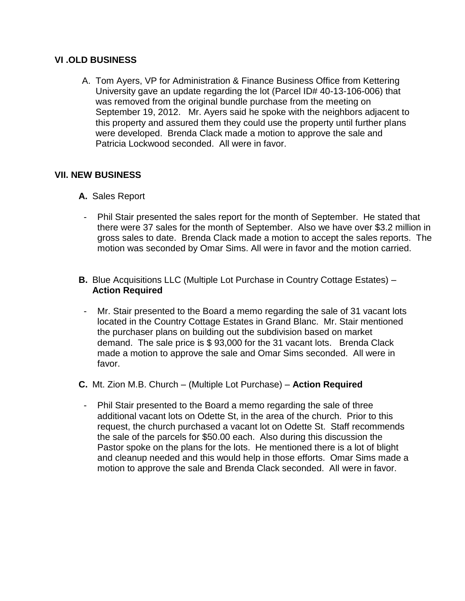## **VI .OLD BUSINESS**

A. Tom Ayers, VP for Administration & Finance Business Office from Kettering University gave an update regarding the lot (Parcel ID# 40-13-106-006) that was removed from the original bundle purchase from the meeting on September 19, 2012. Mr. Ayers said he spoke with the neighbors adjacent to this property and assured them they could use the property until further plans were developed. Brenda Clack made a motion to approve the sale and Patricia Lockwood seconded. All were in favor.

# **VII. NEW BUSINESS**

- **A.** Sales Report
- Phil Stair presented the sales report for the month of September. He stated that there were 37 sales for the month of September. Also we have over \$3.2 million in gross sales to date. Brenda Clack made a motion to accept the sales reports. The motion was seconded by Omar Sims. All were in favor and the motion carried.
- **B.** Blue Acquisitions LLC (Multiple Lot Purchase in Country Cottage Estates) **Action Required**
- Mr. Stair presented to the Board a memo regarding the sale of 31 vacant lots located in the Country Cottage Estates in Grand Blanc. Mr. Stair mentioned the purchaser plans on building out the subdivision based on market demand. The sale price is \$ 93,000 for the 31 vacant lots. Brenda Clack made a motion to approve the sale and Omar Sims seconded. All were in favor.
- **C.** Mt. Zion M.B. Church (Multiple Lot Purchase) **Action Required**
	- Phil Stair presented to the Board a memo regarding the sale of three additional vacant lots on Odette St, in the area of the church. Prior to this request, the church purchased a vacant lot on Odette St. Staff recommends the sale of the parcels for \$50.00 each. Also during this discussion the Pastor spoke on the plans for the lots. He mentioned there is a lot of blight and cleanup needed and this would help in those efforts. Omar Sims made a motion to approve the sale and Brenda Clack seconded. All were in favor.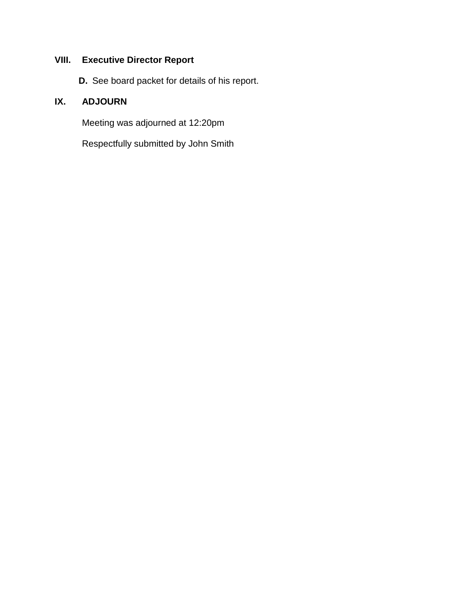# **VIII. Executive Director Report**

**D.** See board packet for details of his report.

# **IX. ADJOURN**

Meeting was adjourned at 12:20pm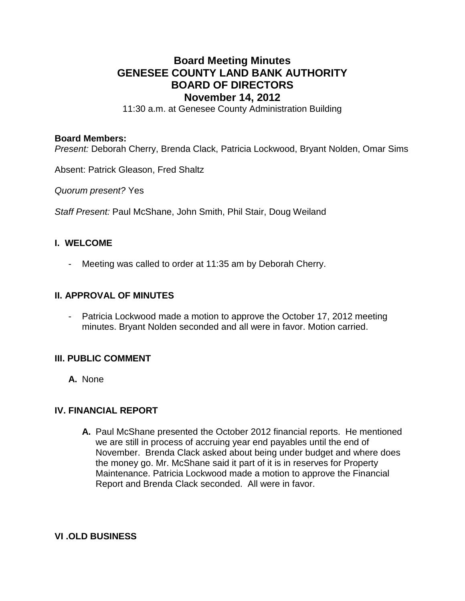# **Board Meeting Minutes GENESEE COUNTY LAND BANK AUTHORITY BOARD OF DIRECTORS November 14, 2012**

11:30 a.m. at Genesee County Administration Building

#### **Board Members:**

*Present:* Deborah Cherry, Brenda Clack, Patricia Lockwood, Bryant Nolden, Omar Sims

Absent: Patrick Gleason, Fred Shaltz

*Quorum present?* Yes

*Staff Present:* Paul McShane, John Smith, Phil Stair, Doug Weiland

#### **I. WELCOME**

Meeting was called to order at 11:35 am by Deborah Cherry.

#### **II. APPROVAL OF MINUTES**

- Patricia Lockwood made a motion to approve the October 17, 2012 meeting minutes. Bryant Nolden seconded and all were in favor. Motion carried.

### **III. PUBLIC COMMENT**

**A.** None

# **IV. FINANCIAL REPORT**

**A.** Paul McShane presented the October 2012 financial reports. He mentioned we are still in process of accruing year end payables until the end of November. Brenda Clack asked about being under budget and where does the money go. Mr. McShane said it part of it is in reserves for Property Maintenance. Patricia Lockwood made a motion to approve the Financial Report and Brenda Clack seconded. All were in favor.

**VI .OLD BUSINESS**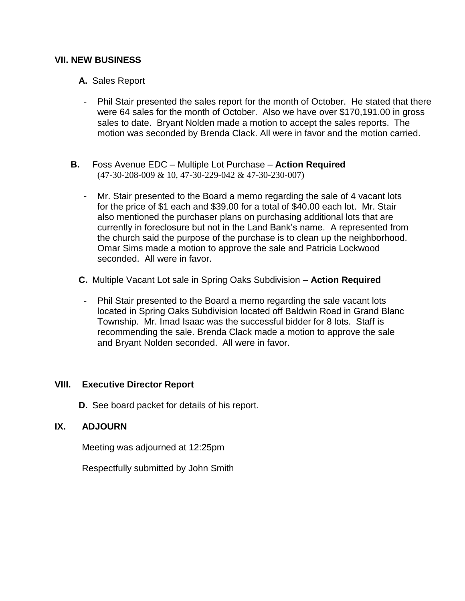### **VII. NEW BUSINESS**

- **A.** Sales Report
- Phil Stair presented the sales report for the month of October. He stated that there were 64 sales for the month of October. Also we have over \$170,191.00 in gross sales to date. Bryant Nolden made a motion to accept the sales reports. The motion was seconded by Brenda Clack. All were in favor and the motion carried.
- **B.** Foss Avenue EDC Multiple Lot Purchase **Action Required** (47-30-208-009 & 10, 47-30-229-042 & 47-30-230-007)
	- Mr. Stair presented to the Board a memo regarding the sale of 4 vacant lots for the price of \$1 each and \$39.00 for a total of \$40.00 each lot. Mr. Stair also mentioned the purchaser plans on purchasing additional lots that are currently in foreclosure but not in the Land Bank's name. A represented from the church said the purpose of the purchase is to clean up the neighborhood. Omar Sims made a motion to approve the sale and Patricia Lockwood seconded. All were in favor.
	- **C.** Multiple Vacant Lot sale in Spring Oaks Subdivision **Action Required**
		- Phil Stair presented to the Board a memo regarding the sale vacant lots located in Spring Oaks Subdivision located off Baldwin Road in Grand Blanc Township. Mr. Imad Isaac was the successful bidder for 8 lots. Staff is recommending the sale. Brenda Clack made a motion to approve the sale and Bryant Nolden seconded. All were in favor.

### **VIII. Executive Director Report**

**D.** See board packet for details of his report.

### **IX. ADJOURN**

Meeting was adjourned at 12:25pm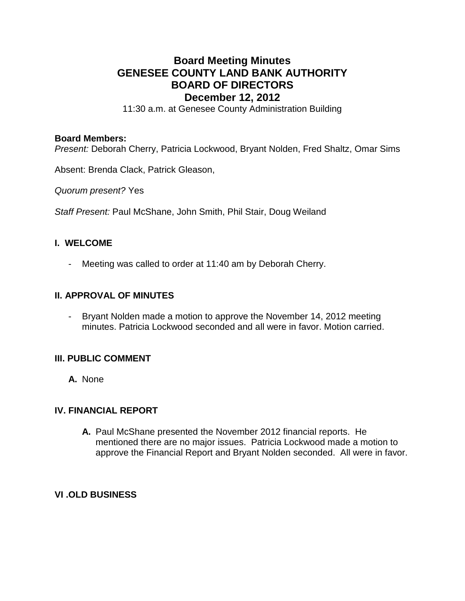# **Board Meeting Minutes GENESEE COUNTY LAND BANK AUTHORITY BOARD OF DIRECTORS December 12, 2012**

11:30 a.m. at Genesee County Administration Building

#### **Board Members:**

*Present:* Deborah Cherry, Patricia Lockwood, Bryant Nolden, Fred Shaltz, Omar Sims

Absent: Brenda Clack, Patrick Gleason,

*Quorum present?* Yes

*Staff Present:* Paul McShane, John Smith, Phil Stair, Doug Weiland

### **I. WELCOME**

- Meeting was called to order at 11:40 am by Deborah Cherry.

#### **II. APPROVAL OF MINUTES**

- Bryant Nolden made a motion to approve the November 14, 2012 meeting minutes. Patricia Lockwood seconded and all were in favor. Motion carried.

### **III. PUBLIC COMMENT**

**A.** None

# **IV. FINANCIAL REPORT**

**A.** Paul McShane presented the November 2012 financial reports. He mentioned there are no major issues. Patricia Lockwood made a motion to approve the Financial Report and Bryant Nolden seconded. All were in favor.

### **VI .OLD BUSINESS**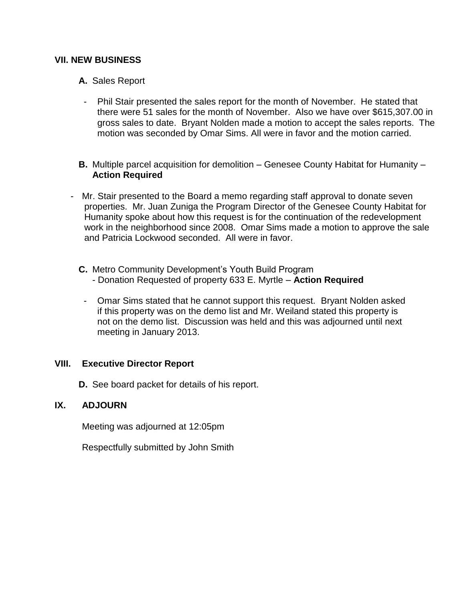### **VII. NEW BUSINESS**

- **A.** Sales Report
- Phil Stair presented the sales report for the month of November. He stated that there were 51 sales for the month of November. Also we have over \$615,307.00 in gross sales to date. Bryant Nolden made a motion to accept the sales reports. The motion was seconded by Omar Sims. All were in favor and the motion carried.
- **B.** Multiple parcel acquisition for demolition Genesee County Habitat for Humanity **Action Required**
- Mr. Stair presented to the Board a memo regarding staff approval to donate seven properties. Mr. Juan Zuniga the Program Director of the Genesee County Habitat for Humanity spoke about how this request is for the continuation of the redevelopment work in the neighborhood since 2008. Omar Sims made a motion to approve the sale and Patricia Lockwood seconded. All were in favor.
	- **C.** Metro Community Development's Youth Build Program - Donation Requested of property 633 E. Myrtle – **Action Required**
		- Omar Sims stated that he cannot support this request. Bryant Nolden asked if this property was on the demo list and Mr. Weiland stated this property is not on the demo list. Discussion was held and this was adjourned until next meeting in January 2013.

#### **VIII. Executive Director Report**

**D.** See board packet for details of his report.

## **IX. ADJOURN**

Meeting was adjourned at 12:05pm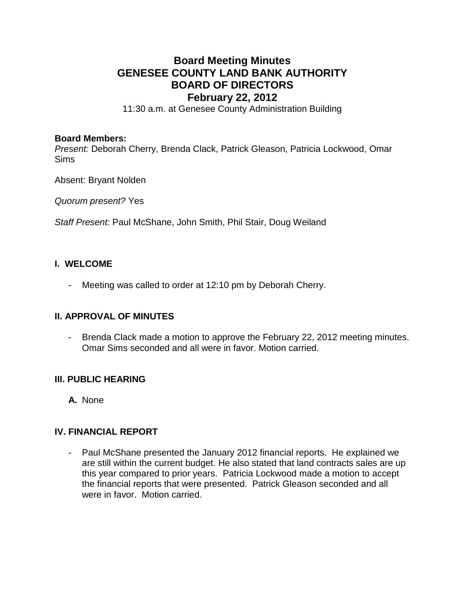# **Board Meeting Minutes GENESEE COUNTY LAND BANK AUTHORITY BOARD OF DIRECTORS February 22, 2012**

11:30 a.m. at Genesee County Administration Building

#### **Board Members:**

*Present:* Deborah Cherry, Brenda Clack, Patrick Gleason, Patricia Lockwood, Omar Sims

Absent: Bryant Nolden

*Quorum present?* Yes

*Staff Present:* Paul McShane, John Smith, Phil Stair, Doug Weiland

## **I. WELCOME**

- Meeting was called to order at 12:10 pm by Deborah Cherry.

### **II. APPROVAL OF MINUTES**

- Brenda Clack made a motion to approve the February 22, 2012 meeting minutes. Omar Sims seconded and all were in favor. Motion carried.

### **III. PUBLIC HEARING**

**A.** None

### **IV. FINANCIAL REPORT**

- Paul McShane presented the January 2012 financial reports. He explained we are still within the current budget. He also stated that land contracts sales are up this year compared to prior years. Patricia Lockwood made a motion to accept the financial reports that were presented. Patrick Gleason seconded and all were in favor. Motion carried.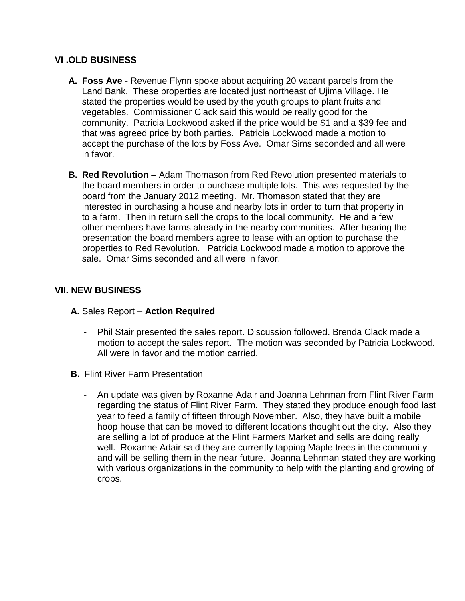## **VI .OLD BUSINESS**

- **A. Foss Ave** Revenue Flynn spoke about acquiring 20 vacant parcels from the Land Bank. These properties are located just northeast of Ujima Village. He stated the properties would be used by the youth groups to plant fruits and vegetables. Commissioner Clack said this would be really good for the community. Patricia Lockwood asked if the price would be \$1 and a \$39 fee and that was agreed price by both parties. Patricia Lockwood made a motion to accept the purchase of the lots by Foss Ave. Omar Sims seconded and all were in favor.
- **B. Red Revolution –** Adam Thomason from Red Revolution presented materials to the board members in order to purchase multiple lots. This was requested by the board from the January 2012 meeting. Mr. Thomason stated that they are interested in purchasing a house and nearby lots in order to turn that property in to a farm. Then in return sell the crops to the local community. He and a few other members have farms already in the nearby communities. After hearing the presentation the board members agree to lease with an option to purchase the properties to Red Revolution. Patricia Lockwood made a motion to approve the sale. Omar Sims seconded and all were in favor.

# **VII. NEW BUSINESS**

- **A.** Sales Report **Action Required**
	- Phil Stair presented the sales report. Discussion followed. Brenda Clack made a motion to accept the sales report. The motion was seconded by Patricia Lockwood. All were in favor and the motion carried.
- **B.** Flint River Farm Presentation
	- An update was given by Roxanne Adair and Joanna Lehrman from Flint River Farm regarding the status of Flint River Farm. They stated they produce enough food last year to feed a family of fifteen through November. Also, they have built a mobile hoop house that can be moved to different locations thought out the city. Also they are selling a lot of produce at the Flint Farmers Market and sells are doing really well. Roxanne Adair said they are currently tapping Maple trees in the community and will be selling them in the near future. Joanna Lehrman stated they are working with various organizations in the community to help with the planting and growing of crops.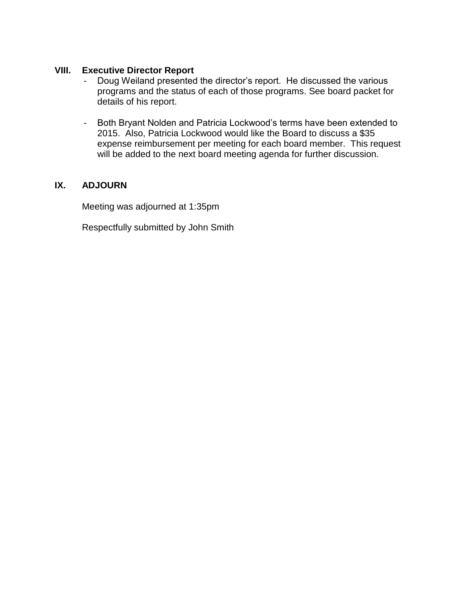# **VIII. Executive Director Report**

- Doug Weiland presented the director's report. He discussed the various programs and the status of each of those programs. See board packet for details of his report.
- Both Bryant Nolden and Patricia Lockwood's terms have been extended to 2015. Also, Patricia Lockwood would like the Board to discuss a \$35 expense reimbursement per meeting for each board member. This request will be added to the next board meeting agenda for further discussion.

### **IX. ADJOURN**

Meeting was adjourned at 1:35pm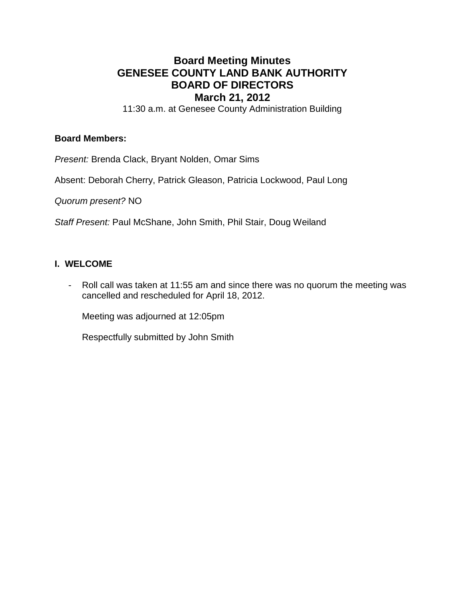# **Board Meeting Minutes GENESEE COUNTY LAND BANK AUTHORITY BOARD OF DIRECTORS March 21, 2012**

11:30 a.m. at Genesee County Administration Building

#### **Board Members:**

*Present:* Brenda Clack, Bryant Nolden, Omar Sims

Absent: Deborah Cherry, Patrick Gleason, Patricia Lockwood, Paul Long

*Quorum present?* NO

*Staff Present:* Paul McShane, John Smith, Phil Stair, Doug Weiland

### **I. WELCOME**

- Roll call was taken at 11:55 am and since there was no quorum the meeting was cancelled and rescheduled for April 18, 2012.

Meeting was adjourned at 12:05pm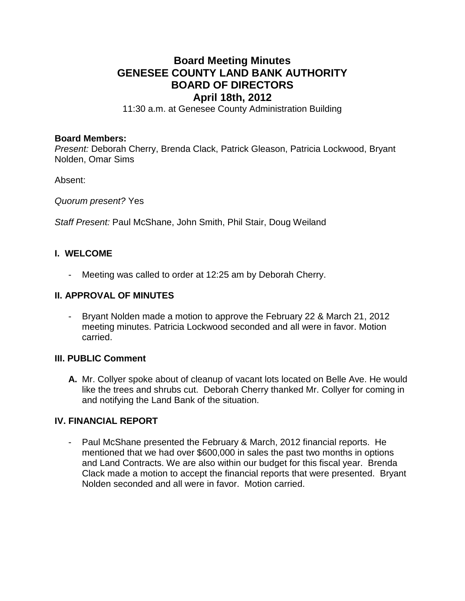# **Board Meeting Minutes GENESEE COUNTY LAND BANK AUTHORITY BOARD OF DIRECTORS April 18th, 2012**

11:30 a.m. at Genesee County Administration Building

#### **Board Members:**

*Present:* Deborah Cherry, Brenda Clack, Patrick Gleason, Patricia Lockwood, Bryant Nolden, Omar Sims

Absent:

*Quorum present?* Yes

*Staff Present:* Paul McShane, John Smith, Phil Stair, Doug Weiland

# **I. WELCOME**

- Meeting was called to order at 12:25 am by Deborah Cherry.

#### **II. APPROVAL OF MINUTES**

- Bryant Nolden made a motion to approve the February 22 & March 21, 2012 meeting minutes. Patricia Lockwood seconded and all were in favor. Motion carried.

### **III. PUBLIC Comment**

**A.** Mr. Collyer spoke about of cleanup of vacant lots located on Belle Ave. He would like the trees and shrubs cut. Deborah Cherry thanked Mr. Collyer for coming in and notifying the Land Bank of the situation.

### **IV. FINANCIAL REPORT**

- Paul McShane presented the February & March, 2012 financial reports. He mentioned that we had over \$600,000 in sales the past two months in options and Land Contracts. We are also within our budget for this fiscal year. Brenda Clack made a motion to accept the financial reports that were presented. Bryant Nolden seconded and all were in favor. Motion carried.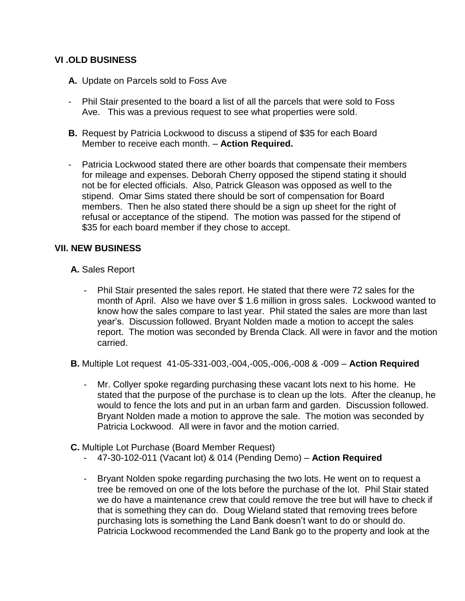# **VI .OLD BUSINESS**

- **A.** Update on Parcels sold to Foss Ave
- Phil Stair presented to the board a list of all the parcels that were sold to Foss Ave. This was a previous request to see what properties were sold.
- **B.** Request by Patricia Lockwood to discuss a stipend of \$35 for each Board Member to receive each month. – **Action Required.**
- Patricia Lockwood stated there are other boards that compensate their members for mileage and expenses. Deborah Cherry opposed the stipend stating it should not be for elected officials. Also, Patrick Gleason was opposed as well to the stipend. Omar Sims stated there should be sort of compensation for Board members. Then he also stated there should be a sign up sheet for the right of refusal or acceptance of the stipend. The motion was passed for the stipend of \$35 for each board member if they chose to accept.

# **VII. NEW BUSINESS**

- **A.** Sales Report
	- Phil Stair presented the sales report. He stated that there were 72 sales for the month of April. Also we have over \$ 1.6 million in gross sales. Lockwood wanted to know how the sales compare to last year. Phil stated the sales are more than last year's. Discussion followed. Bryant Nolden made a motion to accept the sales report. The motion was seconded by Brenda Clack. All were in favor and the motion carried.
- **B.** Multiple Lot request 41-05-331-003,-004,-005,-006,-008 & -009 **Action Required**
	- Mr. Collyer spoke regarding purchasing these vacant lots next to his home. He stated that the purpose of the purchase is to clean up the lots. After the cleanup, he would to fence the lots and put in an urban farm and garden. Discussion followed. Bryant Nolden made a motion to approve the sale. The motion was seconded by Patricia Lockwood. All were in favor and the motion carried.
- **C.** Multiple Lot Purchase (Board Member Request)
	- 47-30-102-011 (Vacant lot) & 014 (Pending Demo) **Action Required**
	- Bryant Nolden spoke regarding purchasing the two lots. He went on to request a tree be removed on one of the lots before the purchase of the lot. Phil Stair stated we do have a maintenance crew that could remove the tree but will have to check if that is something they can do. Doug Wieland stated that removing trees before purchasing lots is something the Land Bank doesn't want to do or should do. Patricia Lockwood recommended the Land Bank go to the property and look at the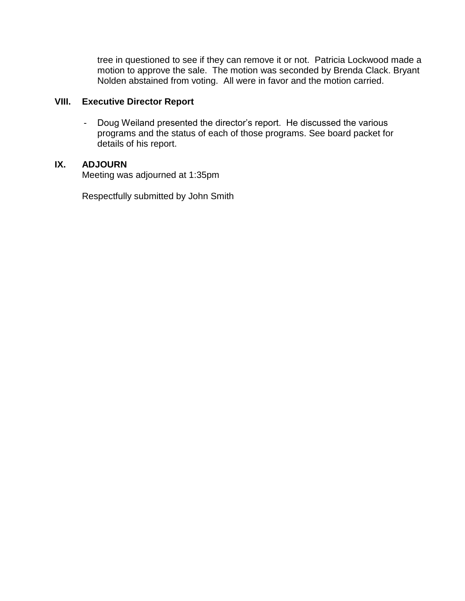tree in questioned to see if they can remove it or not. Patricia Lockwood made a motion to approve the sale. The motion was seconded by Brenda Clack. Bryant Nolden abstained from voting. All were in favor and the motion carried.

# **VIII. Executive Director Report**

- Doug Weiland presented the director's report. He discussed the various programs and the status of each of those programs. See board packet for details of his report.

# **IX. ADJOURN**

Meeting was adjourned at 1:35pm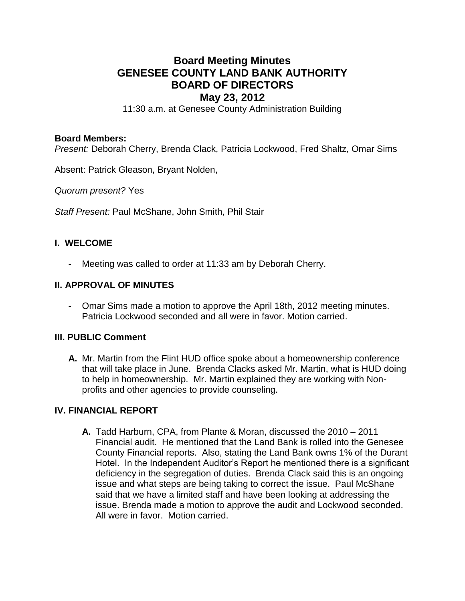# **Board Meeting Minutes GENESEE COUNTY LAND BANK AUTHORITY BOARD OF DIRECTORS May 23, 2012**

11:30 a.m. at Genesee County Administration Building

#### **Board Members:**

*Present:* Deborah Cherry, Brenda Clack, Patricia Lockwood, Fred Shaltz, Omar Sims

Absent: Patrick Gleason, Bryant Nolden,

*Quorum present?* Yes

*Staff Present:* Paul McShane, John Smith, Phil Stair

### **I. WELCOME**

Meeting was called to order at 11:33 am by Deborah Cherry.

#### **II. APPROVAL OF MINUTES**

- Omar Sims made a motion to approve the April 18th, 2012 meeting minutes. Patricia Lockwood seconded and all were in favor. Motion carried.

### **III. PUBLIC Comment**

**A.** Mr. Martin from the Flint HUD office spoke about a homeownership conference that will take place in June. Brenda Clacks asked Mr. Martin, what is HUD doing to help in homeownership. Mr. Martin explained they are working with Nonprofits and other agencies to provide counseling.

# **IV. FINANCIAL REPORT**

**A.** Tadd Harburn, CPA, from Plante & Moran, discussed the 2010 – 2011 Financial audit. He mentioned that the Land Bank is rolled into the Genesee County Financial reports. Also, stating the Land Bank owns 1% of the Durant Hotel. In the Independent Auditor's Report he mentioned there is a significant deficiency in the segregation of duties. Brenda Clack said this is an ongoing issue and what steps are being taking to correct the issue. Paul McShane said that we have a limited staff and have been looking at addressing the issue. Brenda made a motion to approve the audit and Lockwood seconded. All were in favor. Motion carried.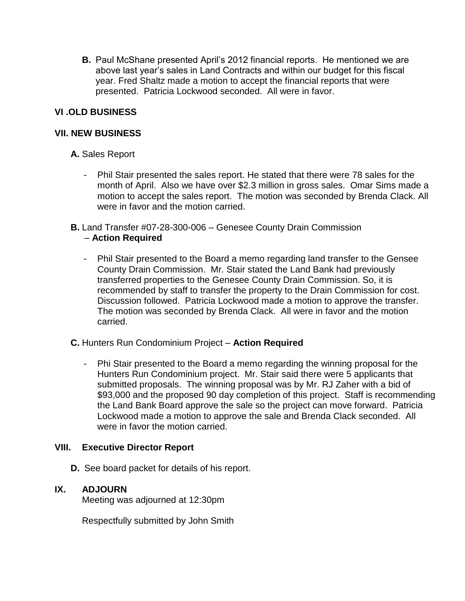**B.** Paul McShane presented April's 2012 financial reports. He mentioned we are above last year's sales in Land Contracts and within our budget for this fiscal year. Fred Shaltz made a motion to accept the financial reports that were presented. Patricia Lockwood seconded. All were in favor.

# **VI .OLD BUSINESS**

# **VII. NEW BUSINESS**

# **A.** Sales Report

- Phil Stair presented the sales report. He stated that there were 78 sales for the month of April. Also we have over \$2.3 million in gross sales. Omar Sims made a motion to accept the sales report. The motion was seconded by Brenda Clack. All were in favor and the motion carried.
- **B.** Land Transfer #07-28-300-006 Genesee County Drain Commission – **Action Required**
	- Phil Stair presented to the Board a memo regarding land transfer to the Gensee County Drain Commission. Mr. Stair stated the Land Bank had previously transferred properties to the Genesee County Drain Commission. So, it is recommended by staff to transfer the property to the Drain Commission for cost. Discussion followed. Patricia Lockwood made a motion to approve the transfer. The motion was seconded by Brenda Clack. All were in favor and the motion carried.

### **C.** Hunters Run Condominium Project – **Action Required**

- Phi Stair presented to the Board a memo regarding the winning proposal for the Hunters Run Condominium project. Mr. Stair said there were 5 applicants that submitted proposals. The winning proposal was by Mr. RJ Zaher with a bid of \$93,000 and the proposed 90 day completion of this project. Staff is recommending the Land Bank Board approve the sale so the project can move forward. Patricia Lockwood made a motion to approve the sale and Brenda Clack seconded. All were in favor the motion carried.

### **VIII. Executive Director Report**

**D.** See board packet for details of his report.

# **IX. ADJOURN**

Meeting was adjourned at 12:30pm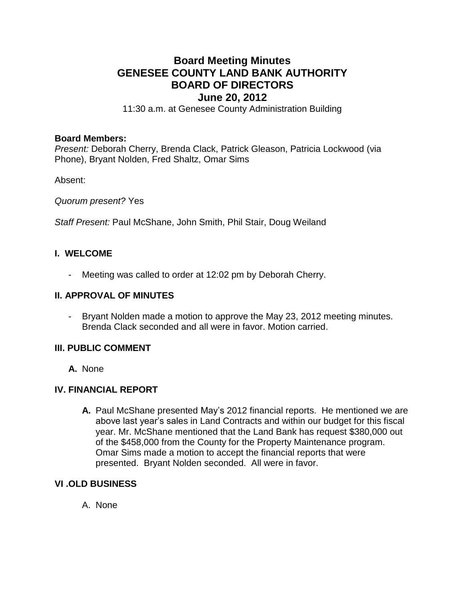# **Board Meeting Minutes GENESEE COUNTY LAND BANK AUTHORITY BOARD OF DIRECTORS June 20, 2012**

11:30 a.m. at Genesee County Administration Building

#### **Board Members:**

*Present:* Deborah Cherry, Brenda Clack, Patrick Gleason, Patricia Lockwood (via Phone), Bryant Nolden, Fred Shaltz, Omar Sims

Absent:

*Quorum present?* Yes

*Staff Present:* Paul McShane, John Smith, Phil Stair, Doug Weiland

### **I. WELCOME**

- Meeting was called to order at 12:02 pm by Deborah Cherry.

#### **II. APPROVAL OF MINUTES**

- Bryant Nolden made a motion to approve the May 23, 2012 meeting minutes. Brenda Clack seconded and all were in favor. Motion carried.

### **III. PUBLIC COMMENT**

**A.** None

### **IV. FINANCIAL REPORT**

**A.** Paul McShane presented May's 2012 financial reports. He mentioned we are above last year's sales in Land Contracts and within our budget for this fiscal year. Mr. McShane mentioned that the Land Bank has request \$380,000 out of the \$458,000 from the County for the Property Maintenance program. Omar Sims made a motion to accept the financial reports that were presented. Bryant Nolden seconded. All were in favor.

### **VI .OLD BUSINESS**

A. None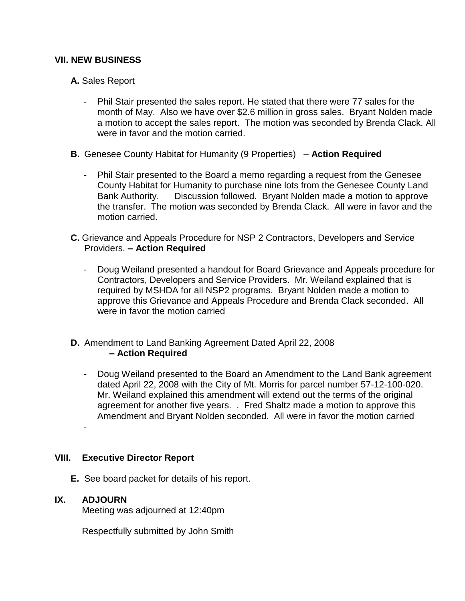## **VII. NEW BUSINESS**

- **A.** Sales Report
	- Phil Stair presented the sales report. He stated that there were 77 sales for the month of May. Also we have over \$2.6 million in gross sales. Bryant Nolden made a motion to accept the sales report. The motion was seconded by Brenda Clack. All were in favor and the motion carried.
- **B.** Genesee County Habitat for Humanity (9 Properties) **Action Required**
	- Phil Stair presented to the Board a memo regarding a request from the Genesee County Habitat for Humanity to purchase nine lots from the Genesee County Land Bank Authority. Discussion followed. Bryant Nolden made a motion to approve the transfer. The motion was seconded by Brenda Clack. All were in favor and the motion carried.
- **C.** Grievance and Appeals Procedure for NSP 2 Contractors, Developers and Service Providers. **– Action Required**
	- Doug Weiland presented a handout for Board Grievance and Appeals procedure for Contractors, Developers and Service Providers. Mr. Weiland explained that is required by MSHDA for all NSP2 programs. Bryant Nolden made a motion to approve this Grievance and Appeals Procedure and Brenda Clack seconded. All were in favor the motion carried
- **D.** Amendment to Land Banking Agreement Dated April 22, 2008 **– Action Required**
	- Doug Weiland presented to the Board an Amendment to the Land Bank agreement dated April 22, 2008 with the City of Mt. Morris for parcel number 57-12-100-020. Mr. Weiland explained this amendment will extend out the terms of the original agreement for another five years. . Fred Shaltz made a motion to approve this Amendment and Bryant Nolden seconded. All were in favor the motion carried -

### **VIII. Executive Director Report**

**E.** See board packet for details of his report.

### **IX. ADJOURN**

Meeting was adjourned at 12:40pm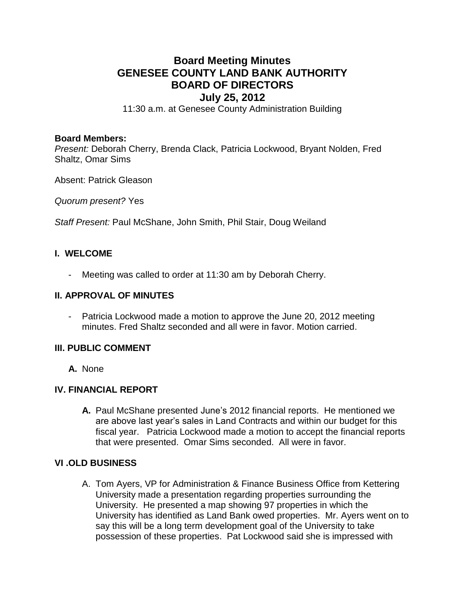# **Board Meeting Minutes GENESEE COUNTY LAND BANK AUTHORITY BOARD OF DIRECTORS July 25, 2012**

11:30 a.m. at Genesee County Administration Building

#### **Board Members:**

*Present:* Deborah Cherry, Brenda Clack, Patricia Lockwood, Bryant Nolden, Fred Shaltz, Omar Sims

Absent: Patrick Gleason

*Quorum present?* Yes

*Staff Present:* Paul McShane, John Smith, Phil Stair, Doug Weiland

# **I. WELCOME**

Meeting was called to order at 11:30 am by Deborah Cherry.

### **II. APPROVAL OF MINUTES**

Patricia Lockwood made a motion to approve the June 20, 2012 meeting minutes. Fred Shaltz seconded and all were in favor. Motion carried.

### **III. PUBLIC COMMENT**

**A.** None

### **IV. FINANCIAL REPORT**

**A.** Paul McShane presented June's 2012 financial reports. He mentioned we are above last year's sales in Land Contracts and within our budget for this fiscal year. Patricia Lockwood made a motion to accept the financial reports that were presented. Omar Sims seconded. All were in favor.

### **VI .OLD BUSINESS**

A. Tom Ayers, VP for Administration & Finance Business Office from Kettering University made a presentation regarding properties surrounding the University. He presented a map showing 97 properties in which the University has identified as Land Bank owed properties. Mr. Ayers went on to say this will be a long term development goal of the University to take possession of these properties. Pat Lockwood said she is impressed with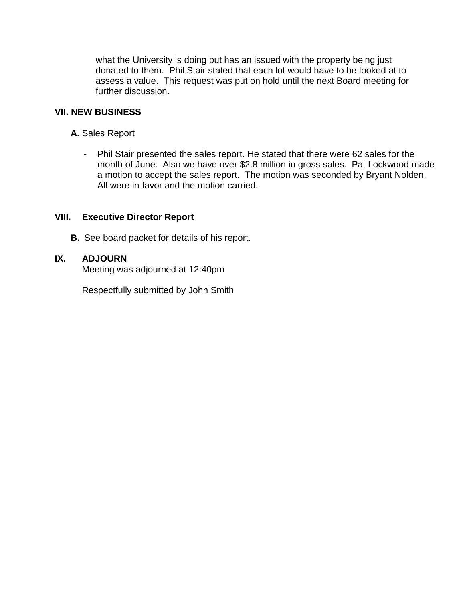what the University is doing but has an issued with the property being just donated to them. Phil Stair stated that each lot would have to be looked at to assess a value. This request was put on hold until the next Board meeting for further discussion.

# **VII. NEW BUSINESS**

- **A.** Sales Report
	- Phil Stair presented the sales report. He stated that there were 62 sales for the month of June. Also we have over \$2.8 million in gross sales. Pat Lockwood made a motion to accept the sales report. The motion was seconded by Bryant Nolden. All were in favor and the motion carried.

# **VIII. Executive Director Report**

**B.** See board packet for details of his report.

# **IX. ADJOURN**

Meeting was adjourned at 12:40pm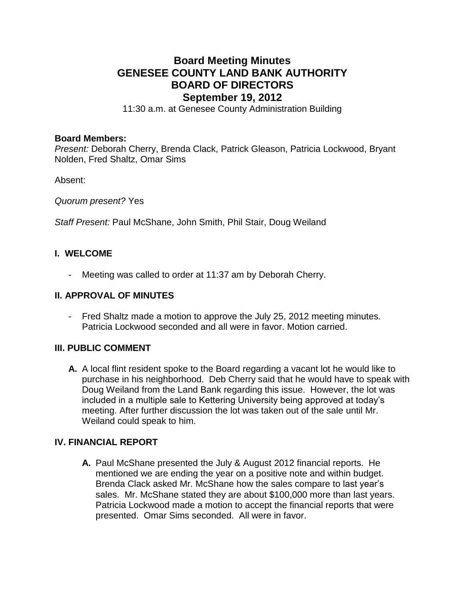# **Board Meeting Minutes GENESEE COUNTY LAND BANK AUTHORITY BOARD OF DIRECTORS September 19, 2012**

11:30 a.m. at Genesee County Administration Building

#### **Board Members:**

*Present:* Deborah Cherry, Brenda Clack, Patrick Gleason, Patricia Lockwood, Bryant Nolden, Fred Shaltz, Omar Sims

Absent:

*Quorum present?* Yes

*Staff Present:* Paul McShane, John Smith, Phil Stair, Doug Weiland

# **I. WELCOME**

- Meeting was called to order at 11:37 am by Deborah Cherry.

#### **II. APPROVAL OF MINUTES**

- Fred Shaltz made a motion to approve the July 25, 2012 meeting minutes. Patricia Lockwood seconded and all were in favor. Motion carried.

## **III. PUBLIC COMMENT**

**A.** A local flint resident spoke to the Board regarding a vacant lot he would like to purchase in his neighborhood. Deb Cherry said that he would have to speak with Doug Weiland from the Land Bank regarding this issue. However, the lot was included in a multiple sale to Kettering University being approved at today's meeting. After further discussion the lot was taken out of the sale until Mr. Weiland could speak to him.

### **IV. FINANCIAL REPORT**

**A.** Paul McShane presented the July & August 2012 financial reports. He mentioned we are ending the year on a positive note and within budget. Brenda Clack asked Mr. McShane how the sales compare to last year's sales. Mr. McShane stated they are about \$100,000 more than last years. Patricia Lockwood made a motion to accept the financial reports that were presented. Omar Sims seconded. All were in favor.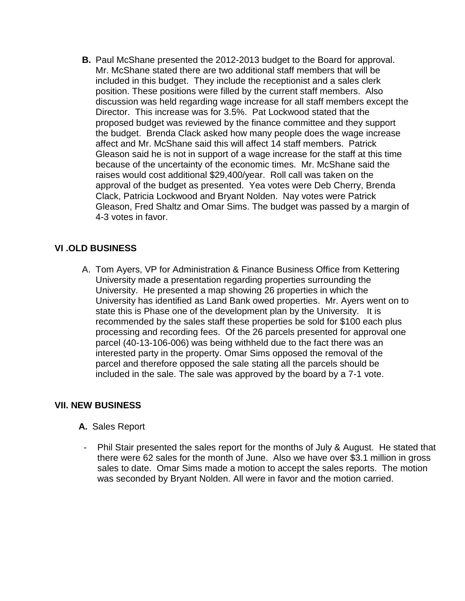**B.** Paul McShane presented the 2012-2013 budget to the Board for approval. Mr. McShane stated there are two additional staff members that will be included in this budget. They include the receptionist and a sales clerk position. These positions were filled by the current staff members. Also discussion was held regarding wage increase for all staff members except the Director. This increase was for 3.5%. Pat Lockwood stated that the proposed budget was reviewed by the finance committee and they support the budget. Brenda Clack asked how many people does the wage increase affect and Mr. McShane said this will affect 14 staff members. Patrick Gleason said he is not in support of a wage increase for the staff at this time because of the uncertainty of the economic times. Mr. McShane said the raises would cost additional \$29,400/year. Roll call was taken on the approval of the budget as presented. Yea votes were Deb Cherry, Brenda Clack, Patricia Lockwood and Bryant Nolden. Nay votes were Patrick Gleason, Fred Shaltz and Omar Sims. The budget was passed by a margin of 4-3 votes in favor.

# **VI .OLD BUSINESS**

A. Tom Ayers, VP for Administration & Finance Business Office from Kettering University made a presentation regarding properties surrounding the University. He presented a map showing 26 properties in which the University has identified as Land Bank owed properties. Mr. Ayers went on to state this is Phase one of the development plan by the University. It is recommended by the sales staff these properties be sold for \$100 each plus processing and recording fees. Of the 26 parcels presented for approval one parcel (40-13-106-006) was being withheld due to the fact there was an interested party in the property. Omar Sims opposed the removal of the parcel and therefore opposed the sale stating all the parcels should be included in the sale. The sale was approved by the board by a 7-1 vote.

# **VII. NEW BUSINESS**

### **A.** Sales Report

Phil Stair presented the sales report for the months of July & August. He stated that there were 62 sales for the month of June. Also we have over \$3.1 million in gross sales to date. Omar Sims made a motion to accept the sales reports. The motion was seconded by Bryant Nolden. All were in favor and the motion carried.